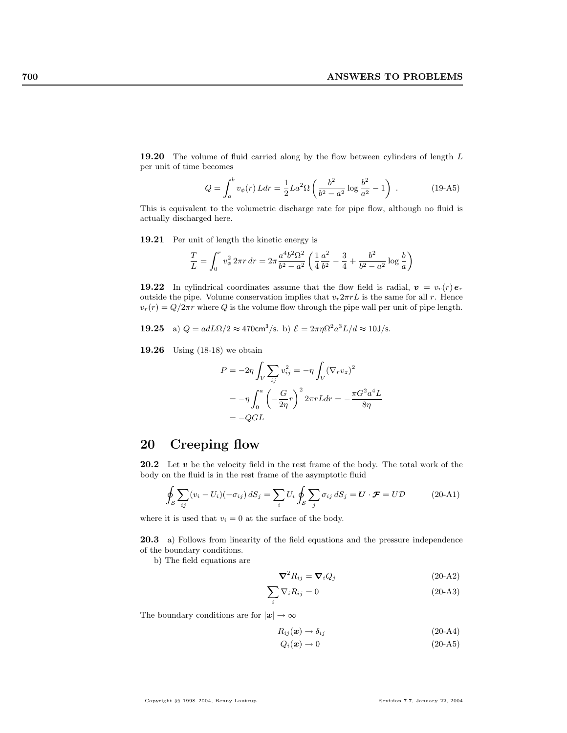**19.20** The volume of fluid carried along by the flow between cylinders of length  $L$ per unit of time becomes

$$
Q = \int_{a}^{b} v_{\phi}(r) L dr = \frac{1}{2} L a^2 \Omega \left( \frac{b^2}{b^2 - a^2} \log \frac{b^2}{a^2} - 1 \right) .
$$
 (19-45)

This is equivalent to the volumetric discharge rate for pipe flow, although no fluid is actually discharged here.

19.21 Per unit of length the kinetic energy is

$$
\frac{T}{L} = \int_0^r v_\phi^2 2\pi r \, dr = 2\pi \frac{a^4 b^2 \Omega^2}{b^2 - a^2} \left( \frac{1}{4} \frac{a^2}{b^2} - \frac{3}{4} + \frac{b^2}{b^2 - a^2} \log \frac{b}{a} \right)
$$

19.22 In cylindrical coordinates assume that the flow field is radial,  $v = v_r(r) e_r$ outside the pipe. Volume conservation implies that  $v_r 2\pi rL$  is the same for all r. Hence  $v_r(r) = Q/2\pi r$  where Q is the volume flow through the pipe wall per unit of pipe length.

**19.25** a) 
$$
Q = adL\Omega/2 \approx 470 \text{cm}^3/\text{s}
$$
. b)  $\mathcal{E} = 2\pi \eta \Omega^2 a^3 L/d \approx 10 \text{J/s}$ .

19.26 Using (18-18) we obtain

$$
P = -2\eta \int_V \sum_{ij} v_{ij}^2 = -\eta \int_V (\nabla_r v_z)^2
$$
  
=  $-\eta \int_0^a \left(-\frac{G}{2\eta}r\right)^2 2\pi r L dr = -\frac{\pi G^2 a^4 L}{8\eta}$   
=  $-QGL$ 

## 20 Creeping flow

20.2 Let  $v$  be the velocity field in the rest frame of the body. The total work of the body on the fluid is in the rest frame of the asymptotic fluid

$$
\oint_{S} \sum_{ij} (v_i - U_i)(-\sigma_{ij}) dS_j = \sum_i U_i \oint_{S} \sum_j \sigma_{ij} dS_j = \mathbf{U} \cdot \mathbf{F} = U\mathbf{D}
$$
\n(20-A1)

where it is used that  $v_i = 0$  at the surface of the body.

20.3 a) Follows from linearity of the field equations and the pressure independence of the boundary conditions.

b) The field equations are

$$
\nabla^2 R_{ij} = \nabla_i Q_j \tag{20-A2}
$$

$$
\sum_{i} \nabla_{i} R_{ij} = 0 \tag{20-A3}
$$

The boundary conditions are for  $|x| \to \infty$ 

$$
R_{ij}(\mathbf{x}) \to \delta_{ij} \tag{20-A4}
$$

$$
Q_i(x) \to 0 \tag{20-A5}
$$